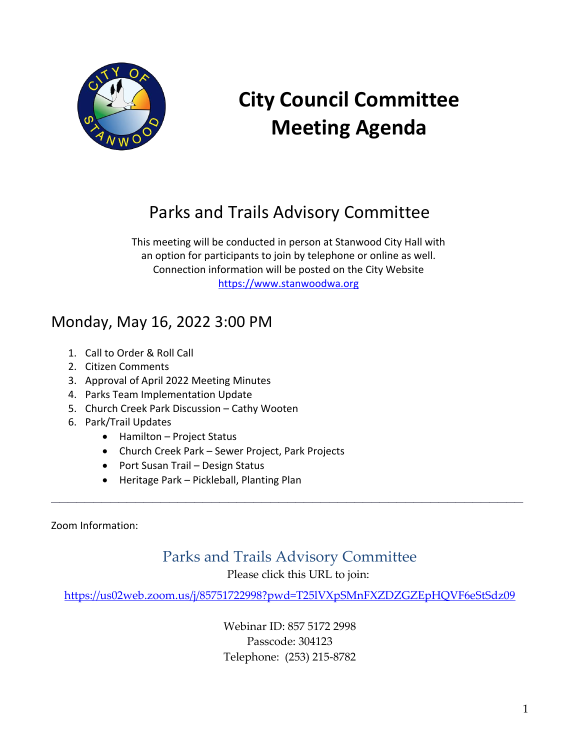

# **City Council Committee Meeting Agenda**

# Parks and Trails Advisory Committee

This meeting will be conducted in person at Stanwood City Hall with an option for participants to join by telephone or online as well. Connection information will be posted on the City Website [https://www.stanwoodwa.org](https://www.stanwoodwa.org/)

# Monday, May 16, 2022 3:00 PM

- 1. Call to Order & Roll Call
- 2. Citizen Comments
- 3. Approval of April 2022 Meeting Minutes
- 4. Parks Team Implementation Update
- 5. Church Creek Park Discussion Cathy Wooten
- 6. Park/Trail Updates
	- Hamilton Project Status
	- Church Creek Park Sewer Project, Park Projects
	- Port Susan Trail Design Status
	- Heritage Park Pickleball, Planting Plan

Zoom Information:

## Parks and Trails Advisory Committee

**\_\_\_\_\_\_\_\_\_\_\_\_\_\_\_\_\_\_\_\_\_\_\_\_\_\_\_\_\_\_\_\_\_\_\_\_\_\_\_\_\_\_\_\_\_\_\_\_\_\_\_\_\_\_\_\_**

Please click this URL to join:

<https://us02web.zoom.us/j/85751722998?pwd=T25lVXpSMnFXZDZGZEpHQVF6eStSdz09>

Webinar ID: 857 5172 2998 Passcode: 304123 Telephone: (253) 215-8782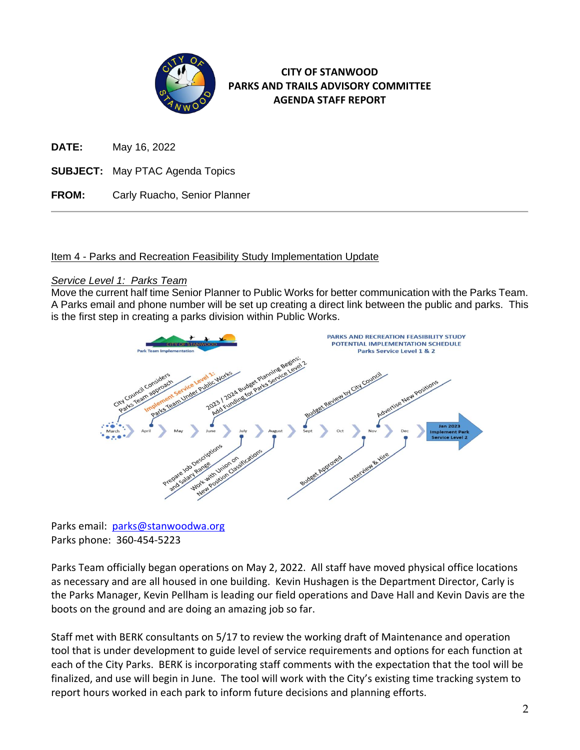

#### **CITY OF STANWOOD PARKS AND TRAILS ADVISORY COMMITTEE AGENDA STAFF REPORT**

**DATE:** May 16, 2022

- **SUBJECT:** May PTAC Agenda Topics
- **FROM:** Carly Ruacho, Senior Planner

#### Item 4 - Parks and Recreation Feasibility Study Implementation Update

#### *Service Level 1: Parks Team*

Move the current half time Senior Planner to Public Works for better communication with the Parks Team. A Parks email and phone number will be set up creating a direct link between the public and parks. This is the first step in creating a parks division within Public Works.



Parks email: [parks@stanwoodwa.org](mailto:parks@stanwoodwa.org) Parks phone: 360-454-5223

Parks Team officially began operations on May 2, 2022. All staff have moved physical office locations as necessary and are all housed in one building. Kevin Hushagen is the Department Director, Carly is the Parks Manager, Kevin Pellham is leading our field operations and Dave Hall and Kevin Davis are the boots on the ground and are doing an amazing job so far.

Staff met with BERK consultants on 5/17 to review the working draft of Maintenance and operation tool that is under development to guide level of service requirements and options for each function at each of the City Parks. BERK is incorporating staff comments with the expectation that the tool will be finalized, and use will begin in June. The tool will work with the City's existing time tracking system to report hours worked in each park to inform future decisions and planning efforts.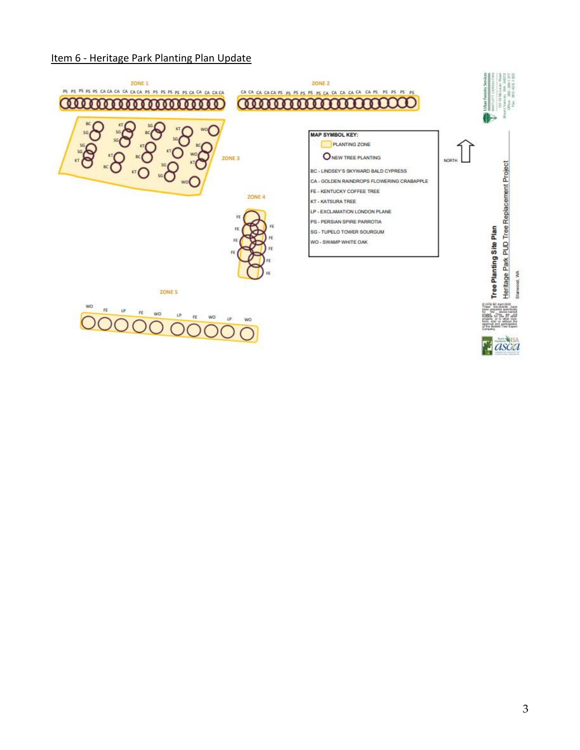#### Item 6 - Heritage Park Planting Plan Update

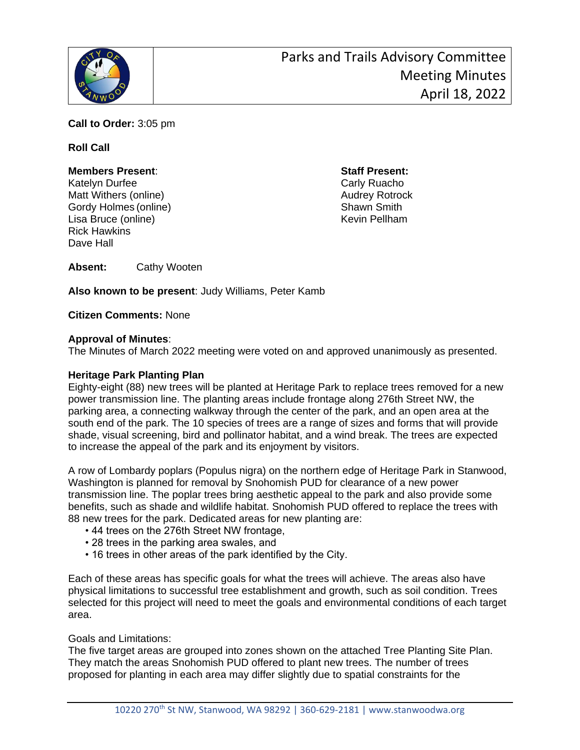

**Call to Order:** 3:05 pm

#### **Roll Call**

#### **Members Present**: **Staff Present:**

Katelyn Durfee Carly Ruacho Matt Withers (online) Matt Withers (online) Gordy Holmes (online) Shawn Smith Lisa Bruce (online) **Kevin Pellham** Rick Hawkins Dave Hall

**Absent:** Cathy Wooten

**Also known to be present**: Judy Williams, Peter Kamb

**Citizen Comments:** None

#### **Approval of Minutes**:

The Minutes of March 2022 meeting were voted on and approved unanimously as presented.

#### **Heritage Park Planting Plan**

Eighty-eight (88) new trees will be planted at Heritage Park to replace trees removed for a new power transmission line. The planting areas include frontage along 276th Street NW, the parking area, a connecting walkway through the center of the park, and an open area at the south end of the park. The 10 species of trees are a range of sizes and forms that will provide shade, visual screening, bird and pollinator habitat, and a wind break. The trees are expected to increase the appeal of the park and its enjoyment by visitors.

A row of Lombardy poplars (Populus nigra) on the northern edge of Heritage Park in Stanwood, Washington is planned for removal by Snohomish PUD for clearance of a new power transmission line. The poplar trees bring aesthetic appeal to the park and also provide some benefits, such as shade and wildlife habitat. Snohomish PUD offered to replace the trees with 88 new trees for the park. Dedicated areas for new planting are:

- 44 trees on the 276th Street NW frontage,
- 28 trees in the parking area swales, and
- 16 trees in other areas of the park identified by the City.

Each of these areas has specific goals for what the trees will achieve. The areas also have physical limitations to successful tree establishment and growth, such as soil condition. Trees selected for this project will need to meet the goals and environmental conditions of each target area.

Goals and Limitations:

The five target areas are grouped into zones shown on the attached Tree Planting Site Plan. They match the areas Snohomish PUD offered to plant new trees. The number of trees proposed for planting in each area may differ slightly due to spatial constraints for the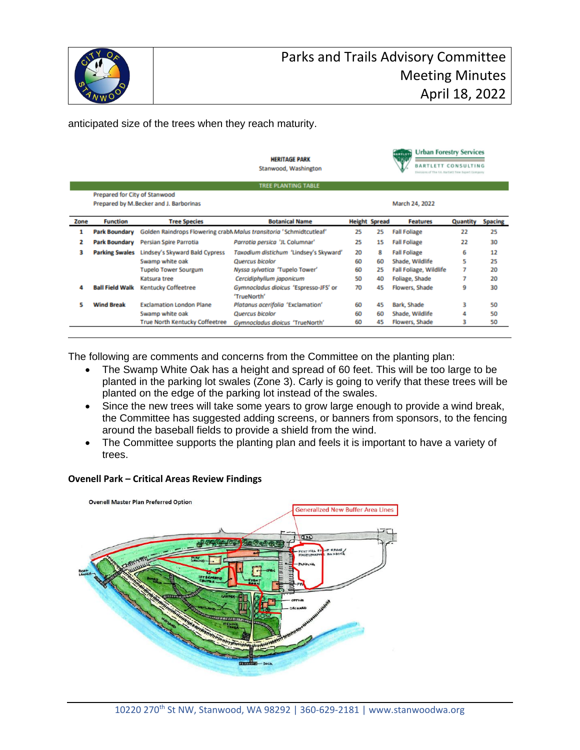

anticipated size of the trees when they reach maturity.

|      |                               |                                        | <b>HERITAGE PARK</b><br>Stanwood, Washington                       |                |                      | <b>Urban Forestry Services</b><br>BARTLETT<br><b>N</b> DSD<br><b>BARTLETT CONSULTING</b><br>Divisions of The AA Bartists free Expert Company |          |                |
|------|-------------------------------|----------------------------------------|--------------------------------------------------------------------|----------------|----------------------|----------------------------------------------------------------------------------------------------------------------------------------------|----------|----------------|
|      |                               |                                        | <b>TREE PLANTING TABLE</b>                                         |                |                      |                                                                                                                                              |          |                |
|      | Prepared for City of Stanwood |                                        |                                                                    |                |                      |                                                                                                                                              |          |                |
|      |                               | Prepared by M.Becker and J. Barborinas |                                                                    | March 24, 2022 |                      |                                                                                                                                              |          |                |
| Zone | <b>Function</b>               | <b>Tree Species</b>                    | <b>Botanical Name</b>                                              |                | <b>Height Spread</b> | <b>Features</b>                                                                                                                              | Quantity | <b>Spacing</b> |
| 1    | <b>Park Boundary</b>          |                                        | Golden Raindrops Flowering crabMMalus transitoria 'Schmidtcutleaf' | 25             | 25                   | <b>Fall Foliage</b>                                                                                                                          | 22       | 25             |
| 2    | <b>Park Boundary</b>          | Persian Spire Parrotia                 | Parrotia persica 'JL Columnar'                                     | 25             | 15                   | <b>Fall Foliage</b>                                                                                                                          | 22       | 30             |
| з    | <b>Parking Swales</b>         | Lindsey's Skyward Bald Cypress         | Taxodium distichum 'Lindsey's Skyward'                             | 20             | 8                    | <b>Fall Foliage</b>                                                                                                                          | 6        | 12             |
|      |                               | Swamp white oak                        | Quercus bicolor                                                    | 60             | 60                   | Shade, Wildlife                                                                                                                              | 5        | 25             |
|      |                               | <b>Tupelo Tower Sourgum</b>            | Nyssa sylvatica 'Tupelo Tower'                                     | 60             | 25                   | <b>Fall Foliage, Wildlife</b>                                                                                                                | 7        | 20             |
|      |                               | Katsura tree                           | Cercidiphyllum japonicum                                           | 50             | 40                   | Foliage, Shade                                                                                                                               | 7        | 20             |
| Δ    | <b>Ball Field Walk</b>        | <b>Kentucky Coffeetree</b>             | Gymnocladus dioicus 'Espresso-JFS' or<br>'TrueNorth'               | 70             | 45                   | Flowers, Shade                                                                                                                               | 9        | 30             |
| 5    | <b>Wind Break</b>             | <b>Exclamation London Plane</b>        | Platanus acerifolia 'Exclamation'                                  | 60             | 45                   | Bark, Shade                                                                                                                                  | з        | 50             |
|      |                               | Swamp white oak                        | <b>Quercus bicolor</b>                                             | 60             | 60                   | Shade, Wildlife                                                                                                                              | Δ        | 50             |
|      |                               | <b>True North Kentucky Coffeetree</b>  | Gymnocladus dioicus 'TrueNorth'                                    | 60             | 45                   | Flowers, Shade                                                                                                                               | з        | 50             |

The following are comments and concerns from the Committee on the planting plan:

- The Swamp White Oak has a height and spread of 60 feet. This will be too large to be planted in the parking lot swales (Zone 3). Carly is going to verify that these trees will be planted on the edge of the parking lot instead of the swales.
- Since the new trees will take some years to grow large enough to provide a wind break, the Committee has suggested adding screens, or banners from sponsors, to the fencing around the baseball fields to provide a shield from the wind.
- The Committee supports the planting plan and feels it is important to have a variety of trees.

#### **Ovenell Park – Critical Areas Review Findings**